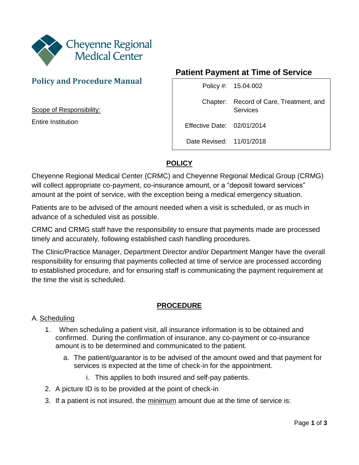

## **Policy and Procedure Manual**

Scope of Responsibility:

Entire Institution

## **Patient Payment at Time of Service**

|                            | Policy #: 15.04.002                                 |
|----------------------------|-----------------------------------------------------|
|                            | Chapter: Record of Care, Treatment, and<br>Services |
| Effective Date: 02/01/2014 |                                                     |
| Date Revised: 11/01/2018   |                                                     |

# **POLICY**

Cheyenne Regional Medical Center (CRMC) and Cheyenne Regional Medical Group (CRMG) will collect appropriate co-payment, co-insurance amount, or a "deposit toward services" amount at the point of service, with the exception being a medical emergency situation.

Patients are to be advised of the amount needed when a visit is scheduled, or as much in advance of a scheduled visit as possible.

CRMC and CRMG staff have the responsibility to ensure that payments made are processed timely and accurately, following established cash handling procedures.

The Clinic/Practice Manager, Department Director and/or Department Manger have the overall responsibility for ensuring that payments collected at time of service are processed according to established procedure, and for ensuring staff is communicating the payment requirement at the time the visit is scheduled.

### **PROCEDURE**

#### A. Scheduling

- 1. When scheduling a patient visit, all insurance information is to be obtained and confirmed. During the confirmation of insurance, any co-payment or co-insurance amount is to be determined and communicated to the patient.
	- a. The patient/guarantor is to be advised of the amount owed and that payment for services is expected at the time of check-in for the appointment.
		- i. This applies to both insured and self-pay patients.
- 2. A picture ID is to be provided at the point of check-in
- 3. If a patient is not insured, the minimum amount due at the time of service is: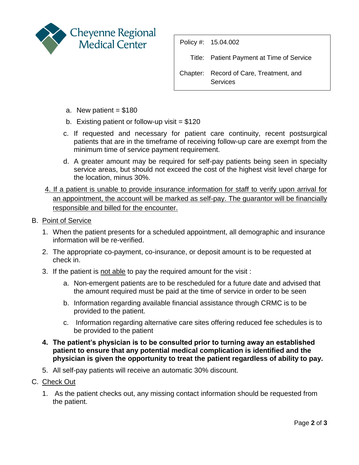

Policy #: 15.04.002 Title: Patient Payment at Time of Service Chapter: Record of Care, Treatment, and **Services** 

- a. New patient  $= $180$
- b. Existing patient or follow-up visit  $= $120$
- c. If requested and necessary for patient care continuity, recent postsurgical patients that are in the timeframe of receiving follow-up care are exempt from the minimum time of service payment requirement.
- d. A greater amount may be required for self-pay patients being seen in specialty service areas, but should not exceed the cost of the highest visit level charge for the location, minus 30%.
- 4. If a patient is unable to provide insurance information for staff to verify upon arrival for an appointment, the account will be marked as self-pay. The guarantor will be financially responsible and billed for the encounter.
- B. Point of Service
	- 1. When the patient presents for a scheduled appointment, all demographic and insurance information will be re-verified.
	- 2. The appropriate co-payment, co-insurance, or deposit amount is to be requested at check in.
	- 3. If the patient is not able to pay the required amount for the visit :
		- a. Non-emergent patients are to be rescheduled for a future date and advised that the amount required must be paid at the time of service in order to be seen
		- b. Information regarding available financial assistance through CRMC is to be provided to the patient.
		- c. Information regarding alternative care sites offering reduced fee schedules is to be provided to the patient
	- **4. The patient's physician is to be consulted prior to turning away an established patient to ensure that any potential medical complication is identified and the physician is given the opportunity to treat the patient regardless of ability to pay.**
	- 5. All self-pay patients will receive an automatic 30% discount.
- C. Check Out
	- 1. As the patient checks out, any missing contact information should be requested from the patient.